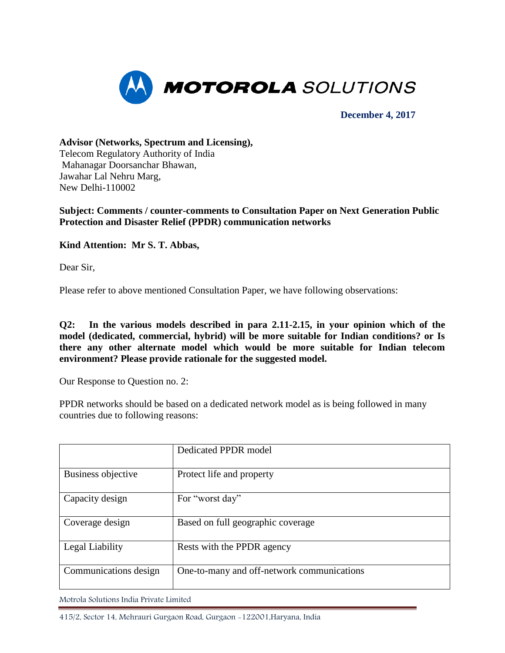

**December 4, 2017**

**Advisor (Networks, Spectrum and Licensing),**  Telecom Regulatory Authority of India Mahanagar Doorsanchar Bhawan, Jawahar Lal Nehru Marg, New Delhi-110002

## **Subject: Comments / counter-comments to Consultation Paper on Next Generation Public Protection and Disaster Relief (PPDR) communication networks**

# **Kind Attention: Mr S. T. Abbas,**

Dear Sir,

Please refer to above mentioned Consultation Paper, we have following observations:

**Q2: In the various models described in para 2.11-2.15, in your opinion which of the model (dedicated, commercial, hybrid) will be more suitable for Indian conditions? or Is there any other alternate model which would be more suitable for Indian telecom environment? Please provide rationale for the suggested model.** 

Our Response to Question no. 2:

PPDR networks should be based on a dedicated network model as is being followed in many countries due to following reasons:

|                       | Dedicated PPDR model                       |
|-----------------------|--------------------------------------------|
| Business objective    | Protect life and property                  |
| Capacity design       | For "worst day"                            |
| Coverage design       | Based on full geographic coverage          |
| Legal Liability       | Rests with the PPDR agency                 |
| Communications design | One-to-many and off-network communications |

Motrola Solutions India Private Limited

415/2, Sector 14, Mehrauri Gurgaon Road, Gurgaon -122001,Haryana, India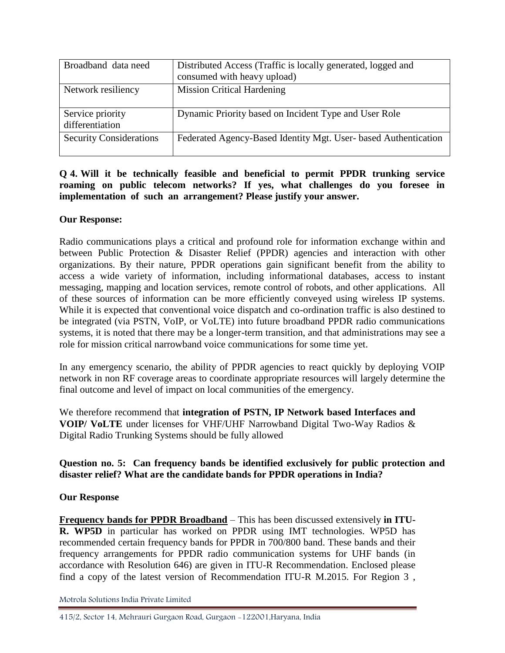| Broadband data need                 | Distributed Access (Traffic is locally generated, logged and<br>consumed with heavy upload) |
|-------------------------------------|---------------------------------------------------------------------------------------------|
| Network resiliency                  | <b>Mission Critical Hardening</b>                                                           |
| Service priority<br>differentiation | Dynamic Priority based on Incident Type and User Role                                       |
| <b>Security Considerations</b>      | Federated Agency-Based Identity Mgt. User- based Authentication                             |

# **Q 4. Will it be technically feasible and beneficial to permit PPDR trunking service roaming on public telecom networks? If yes, what challenges do you foresee in implementation of such an arrangement? Please justify your answer.**

# **Our Response:**

Radio communications plays a critical and profound role for information exchange within and between Public Protection & Disaster Relief (PPDR) agencies and interaction with other organizations. By their nature, PPDR operations gain significant benefit from the ability to access a wide variety of information, including informational databases, access to instant messaging, mapping and location services, remote control of robots, and other applications. All of these sources of information can be more efficiently conveyed using wireless IP systems. While it is expected that conventional voice dispatch and co-ordination traffic is also destined to be integrated (via PSTN, VoIP, or VoLTE) into future broadband PPDR radio communications systems, it is noted that there may be a longer-term transition, and that administrations may see a role for mission critical narrowband voice communications for some time yet.

In any emergency scenario, the ability of PPDR agencies to react quickly by deploying VOIP network in non RF coverage areas to coordinate appropriate resources will largely determine the final outcome and level of impact on local communities of the emergency.

We therefore recommend that **integration of PSTN, IP Network based Interfaces and VOIP/ VoLTE** under licenses for VHF/UHF Narrowband Digital Two-Way Radios & Digital Radio Trunking Systems should be fully allowed

# **Question no. 5: Can frequency bands be identified exclusively for public protection and disaster relief? What are the candidate bands for PPDR operations in India?**

# **Our Response**

**Frequency bands for PPDR Broadband** – This has been discussed extensively **in ITU-R. WP5D** in particular has worked on PPDR using IMT technologies. WP5D has recommended certain frequency bands for PPDR in 700/800 band. These bands and their frequency arrangements for PPDR radio communication systems for UHF bands (in accordance with Resolution 646) are given in ITU-R Recommendation. Enclosed please find a copy of the latest version of Recommendation ITU-R M.2015. For Region 3 ,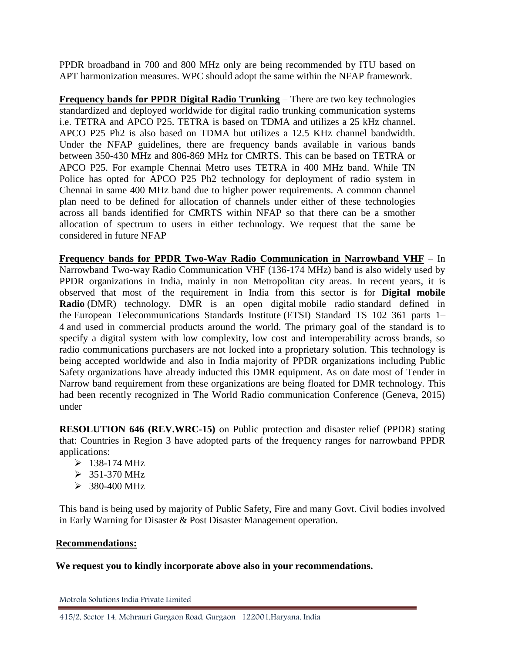PPDR broadband in 700 and 800 MHz only are being recommended by ITU based on APT harmonization measures. WPC should adopt the same within the NFAP framework.

**Frequency bands for PPDR Digital Radio Trunking** – There are two key technologies standardized and deployed worldwide for digital radio trunking communication systems i.e. TETRA and APCO P25. TETRA is based on TDMA and utilizes a 25 kHz channel. APCO P25 Ph2 is also based on TDMA but utilizes a 12.5 KHz channel bandwidth. Under the NFAP guidelines, there are frequency bands available in various bands between 350-430 MHz and 806-869 MHz for CMRTS. This can be based on TETRA or APCO P25. For example Chennai Metro uses TETRA in 400 MHz band. While TN Police has opted for APCO P25 Ph2 technology for deployment of radio system in Chennai in same 400 MHz band due to higher power requirements. A common channel plan need to be defined for allocation of channels under either of these technologies across all bands identified for CMRTS within NFAP so that there can be a smother allocation of spectrum to users in either technology. We request that the same be considered in future NFAP

**Frequency bands for PPDR Two-Way Radio Communication in Narrowband VHF** – In Narrowband Two-way Radio Communication VHF (136-174 MHz) band is also widely used by PPDR organizations in India, mainly in non Metropolitan city areas. In recent years, it is observed that most of the requirement in India from this sector is for **Digital mobile Radio** (DMR) technology. DMR is an open digital mobile radio standard defined in the European Telecommunications Standards Institute (ETSI) Standard TS 102 361 parts 1– 4 and used in commercial products around the world. The primary goal of the standard is to specify a digital system with low complexity, low cost and interoperability across brands, so radio communications purchasers are not locked into a proprietary solution. This technology is being accepted worldwide and also in India majority of PPDR organizations including Public Safety organizations have already inducted this DMR equipment. As on date most of Tender in Narrow band requirement from these organizations are being floated for DMR technology. This had been recently recognized in The World Radio communication Conference (Geneva, 2015) under

**RESOLUTION 646 (REV.WRC-15)** on Public protection and disaster relief (PPDR) stating that: Countries in Region 3 have adopted parts of the frequency ranges for narrowband PPDR applications:

- $> 138-174 \text{ MHz}$
- $> 351-370 \text{ MHz}$
- $> 380-400 \text{ MHz}$

This band is being used by majority of Public Safety, Fire and many Govt. Civil bodies involved in Early Warning for Disaster & Post Disaster Management operation.

#### **Recommendations:**

#### **We request you to kindly incorporate above also in your recommendations.**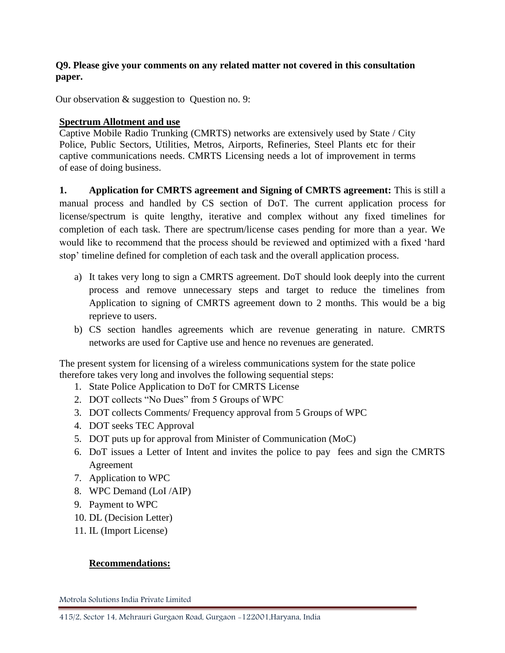# **Q9. Please give your comments on any related matter not covered in this consultation paper.**

Our observation & suggestion to Question no. 9:

## **Spectrum Allotment and use**

Captive Mobile Radio Trunking (CMRTS) networks are extensively used by State / City Police, Public Sectors, Utilities, Metros, Airports, Refineries, Steel Plants etc for their captive communications needs. CMRTS Licensing needs a lot of improvement in terms of ease of doing business.

**1. Application for CMRTS agreement and Signing of CMRTS agreement:** This is still a manual process and handled by CS section of DoT. The current application process for license/spectrum is quite lengthy, iterative and complex without any fixed timelines for completion of each task. There are spectrum/license cases pending for more than a year. We would like to recommend that the process should be reviewed and optimized with a fixed 'hard stop' timeline defined for completion of each task and the overall application process.

- a) It takes very long to sign a CMRTS agreement. DoT should look deeply into the current process and remove unnecessary steps and target to reduce the timelines from Application to signing of CMRTS agreement down to 2 months. This would be a big reprieve to users.
- b) CS section handles agreements which are revenue generating in nature. CMRTS networks are used for Captive use and hence no revenues are generated.

The present system for licensing of a wireless communications system for the state police therefore takes very long and involves the following sequential steps:

- 1. State Police Application to DoT for CMRTS License
- 2. DOT collects "No Dues" from 5 Groups of WPC
- 3. DOT collects Comments/ Frequency approval from 5 Groups of WPC
- 4. DOT seeks TEC Approval
- 5. DOT puts up for approval from Minister of Communication (MoC)
- 6. DoT issues a Letter of Intent and invites the police to pay fees and sign the CMRTS Agreement
- 7. Application to WPC
- 8. WPC Demand (LoI /AIP)
- 9. Payment to WPC
- 10. DL (Decision Letter)
- 11. IL (Import License)

# **Recommendations:**